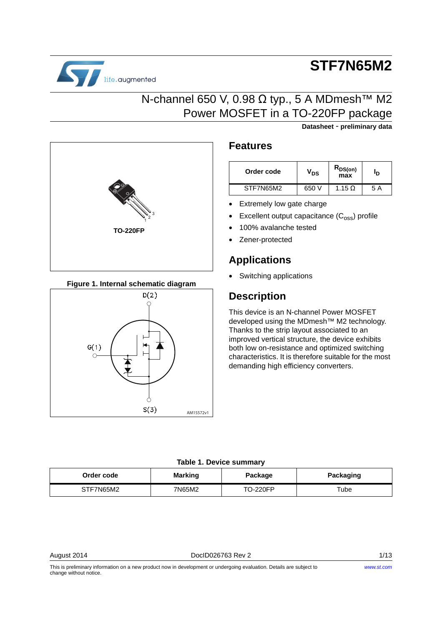

# **STF7N65M2**

**Datasheet** - **preliminary data**

### N-channel 650 V, 0.98 Ω typ., 5 A MDmesh<sup>™</sup> M2 Power MOSFET in a TO-220FP package



**Figure 1. Internal schematic diagram**



### **Features**

| Order code | $V_{DS}$ | $R_{DS(on)}$<br>max | חי  |
|------------|----------|---------------------|-----|
| STF7N65M2  | 650 V    | 1.15 $\Omega$       | 5 A |

- **Extremely low gate charge**
- Excellent output capacitance  $(C_{\text{oss}})$  profile
- 100% avalanche tested
- Zener-protected

### **Applications**

• Switching applications

### **Description**

This device is an N-channel Power MOSFET developed using the MDmesh<sup>™</sup> M2 technology. Thanks to the strip layout associated to an improved vertical structure, the device exhibits both low on-resistance and optimized switching characteristics. It is therefore suitable for the most demanding high efficiency converters.

#### **Table 1. Device summary**

| Order code | <b>Marking</b> | Package         | Packaging |
|------------|----------------|-----------------|-----------|
| STF7N65M2  | 7N65M2         | <b>TO-220FP</b> | Tube      |

August 2014 **DociD026763 Rev 2** 2 1/13

This is preliminary information on a new product now in development or undergoing evaluation. Details are subject to change without notice.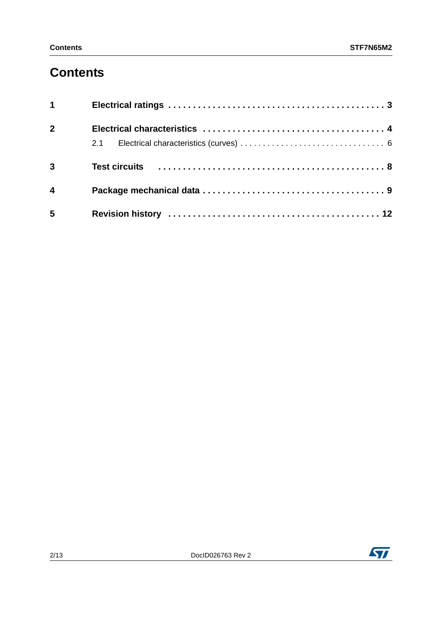## **Contents**

| $1 \quad \blacksquare$  |  |
|-------------------------|--|
| $2^{\circ}$             |  |
|                         |  |
| $\overline{3}$          |  |
| $\overline{\mathbf{4}}$ |  |
| 5                       |  |

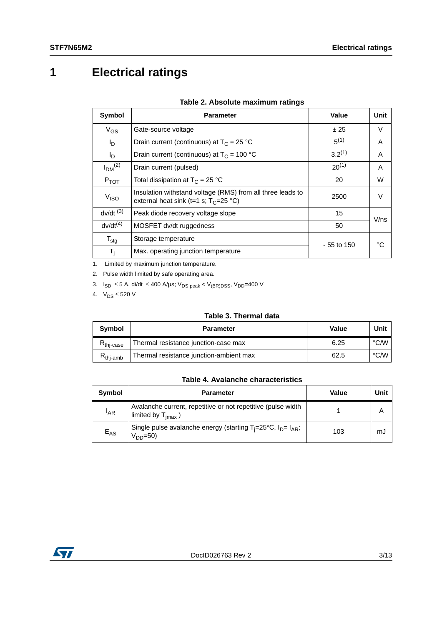# <span id="page-2-0"></span>**1 Electrical ratings**

| Symbol                         | <b>Parameter</b>                                                                                       | Value        | Unit   |
|--------------------------------|--------------------------------------------------------------------------------------------------------|--------------|--------|
| $V_{GS}$                       | Gate-source voltage                                                                                    | ± 25         | V      |
| l <sub>D</sub>                 | Drain current (continuous) at $T_C = 25 °C$                                                            | $5^{(1)}$    | A      |
| I <sub>D</sub>                 | Drain current (continuous) at $T_c = 100 °C$                                                           | $3.2^{(1)}$  | A      |
| I <sub>DM</sub> <sup>(2)</sup> | Drain current (pulsed)                                                                                 | $20^{(1)}$   | A      |
| $P_{TOT}$                      | Total dissipation at $T_C = 25 °C$                                                                     | 20           | W      |
| V <sub>ISO</sub>               | Insulation withstand voltage (RMS) from all three leads to<br>external heat sink (t=1 s; $T_c$ =25 °C) | 2500         | $\vee$ |
| $dv/dt$ <sup>(3)</sup>         | Peak diode recovery voltage slope                                                                      | 15           | V/ns   |
| $dv/dt^{(4)}$                  | MOSFET dv/dt ruggedness                                                                                | 50           |        |
| $T_{\text{stg}}$               | Storage temperature                                                                                    | $-55$ to 150 | °C     |
| T,                             | Max. operating junction temperature                                                                    |              |        |

#### **Table 2. Absolute maximum ratings**

1. Limited by maximum junction temperature.

2. Pulse width limited by safe operating area.

3.  $I_{SD}$  ≤ 5 A, di/dt ≤ 400 A/µs; V<sub>DS peak</sub> < V<sub>(BR)DSS</sub>, V<sub>DD</sub>=400 V

4.  $V_{DS} \le 520 V$ 

#### **Table 3. Thermal data**

| Symbol                | <b>Parameter</b>                        | Value | Unit |
|-----------------------|-----------------------------------------|-------|------|
| $R_{\text{thi-case}}$ | Thermal resistance junction-case max    | 6.25  | °C/W |
| $R_{\text{thi-amb}}$  | Thermal resistance junction-ambient max | 62.5  | °C/W |

#### **Table 4. Avalanche characteristics**

| Symbol          | <b>Parameter</b>                                                                              | Value | Unit |
|-----------------|-----------------------------------------------------------------------------------------------|-------|------|
| <sup>I</sup> AR | Avalanche current, repetitive or not repetitive (pulse width<br>Imited by $T_{\text{imax}}$ ) |       |      |
| $E_{AS}$        | Single pulse avalanche energy (starting $T_i=25^{\circ}C$ , $I_D=I_{AR}$ ;<br>$VDD=50$        | 103   | mJ   |

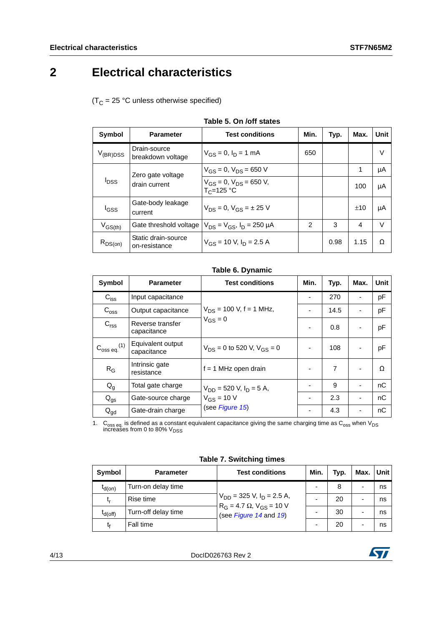## <span id="page-3-0"></span>**2 Electrical characteristics**

 $(T_C = 25 °C$  unless otherwise specified)

<span id="page-3-1"></span>

| Symbol                                                        | <b>Parameter</b>                                   | <b>Test conditions</b>                | Min.           | Typ. | Max. | Unit   |
|---------------------------------------------------------------|----------------------------------------------------|---------------------------------------|----------------|------|------|--------|
| $V_{(BR)DSS}$                                                 | Drain-source<br>breakdown voltage                  | $V_{GS} = 0$ , $I_D = 1$ mA           | 650            |      |      | $\vee$ |
| Zero gate voltage<br><b>I</b> <sub>DSS</sub><br>drain current | $V_{GS} = 0$ , $V_{DS} = 650$ V                    |                                       |                | 1    | μA   |        |
|                                                               | $V_{GS} = 0$ , $V_{DS} = 650$ V,<br>$T_c = 125 °C$ |                                       |                | 100  | μA   |        |
| l <sub>GSS</sub>                                              | Gate-body leakage<br>current                       | $V_{DS} = 0$ , $V_{GS} = \pm 25$ V    |                |      | ±10  | μA     |
| $V_{GS(th)}$                                                  | Gate threshold voltage                             | $V_{DS} = V_{GS}$ , $I_D = 250 \mu A$ | $\overline{2}$ | 3    | 4    | $\vee$ |
| $R_{DS(on)}$                                                  | Static drain-source<br>on-resistance               | $V_{GS}$ = 10 V, $I_D$ = 2.5 A        |                | 0.98 | 1.15 | Ω      |

#### **Table 5. On /off states**

#### **Table 6. Dynamic**

<span id="page-3-2"></span>

| Symbol                           | <b>Parameter</b>                 | <b>Test conditions</b>                       | Min. | Typ. | Max. | <b>Unit</b> |
|----------------------------------|----------------------------------|----------------------------------------------|------|------|------|-------------|
| $C_{\text{iss}}$                 | Input capacitance                |                                              |      | 270  |      | pF          |
| $C_{\text{oss}}$                 | Output capacitance               | $V_{DS}$ = 100 V, f = 1 MHz,<br>$V_{GS} = 0$ |      | 14.5 |      | pF          |
| C <sub>rss</sub>                 | Reverse transfer<br>capacitance  |                                              |      | 0.8  |      | pF          |
| $C_{\rm oss\,eq.}^{\rm}{}^{(1)}$ | Equivalent output<br>capacitance | $V_{DS} = 0$ to 520 V, $V_{GS} = 0$          |      | 108  |      | pF          |
| $R_G$                            | Intrinsic gate<br>resistance     | $f = 1$ MHz open drain                       |      | 7    |      | Ω           |
| $Q_g$                            | Total gate charge                | $V_{DD}$ = 520 V, $I_D$ = 5 A,               |      | 9    |      | nC          |
| $Q_{gs}$                         | Gate-source charge               | $V_{GS}$ = 10 V                              |      | 2.3  |      | nC          |
| $Q_{gd}$                         | Gate-drain charge                | (see Figure 15)                              |      | 4.3  |      | nC          |

1.  $\,$  C<sub>oss eq.</sub> is defined as a constant equivalent capacitance giving the same charging time as C<sub>oss</sub> when V<sub>DS</sub> increases from 0 to 80%  $\rm V_{DSS}$ 

**Table 7. Switching times**

<span id="page-3-3"></span>

| Symbol       | <b>Parameter</b>    | <b>Test conditions</b>                                                   | Min. | Typ. | Max. | Unit |
|--------------|---------------------|--------------------------------------------------------------------------|------|------|------|------|
| $I_{d(on)}$  | Turn-on delay time  |                                                                          |      | 8    | -    | ns   |
| t,           | Rise time           | $V_{DD}$ = 325 V, $I_D$ = 2.5 A,<br>$R_G = 4.7 \Omega$ , $V_{GS} = 10 V$ |      | 20   | -    | ns   |
| $I_{d(Off)}$ | Turn-off delay time | (see Figure 14 and 19)                                                   |      | 30   | -    | ns   |
| t۴           | Fall time           |                                                                          |      | 20   |      | ns   |

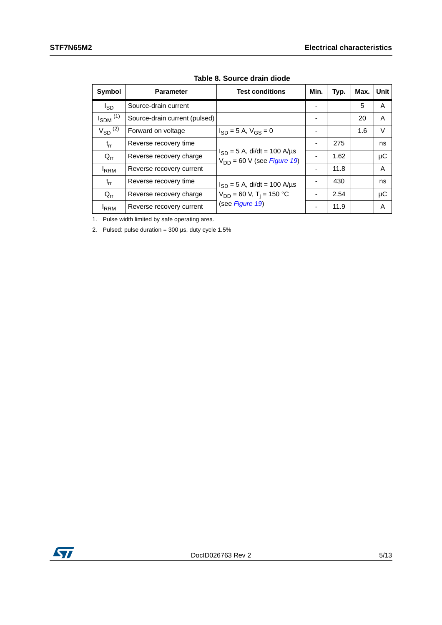<span id="page-4-0"></span>

| Symbol                   | <b>Parameter</b>              | <b>Test conditions</b>                                              | Min. | Typ. | Max. | Unit    |
|--------------------------|-------------------------------|---------------------------------------------------------------------|------|------|------|---------|
| $I_{SD}$                 | Source-drain current          |                                                                     |      |      | 5    | A       |
| $I_{SDM}$ <sup>(1)</sup> | Source-drain current (pulsed) |                                                                     |      |      | 20   | A       |
| $V_{SD}$ <sup>(2)</sup>  | Forward on voltage            | $I_{SD} = 5 A$ , $V_{GS} = 0$                                       |      |      | 1.6  | $\vee$  |
| $t_{rr}$                 | Reverse recovery time         |                                                                     |      | 275  |      | ns      |
| $Q_{rr}$                 | Reverse recovery charge       | $I_{SD} = 5$ A, di/dt = 100 A/µs<br>$V_{DD}$ = 60 V (see Figure 19) |      | 1.62 |      | $\mu$ C |
| <b>IRRM</b>              | Reverse recovery current      |                                                                     |      | 11.8 |      | A       |
| $t_{rr}$                 | Reverse recovery time         | $I_{SD} = 5$ A, di/dt = 100 A/µs                                    |      | 430  |      | ns      |
| $Q_{rr}$                 | Reverse recovery charge       | $V_{DD}$ = 60 V, T <sub>i</sub> = 150 °C                            |      | 2.54 |      | μC      |
| <sup>I</sup> RRM         | Reverse recovery current      | (see Figure 19)                                                     |      | 11.9 |      | A       |

**Table 8. Source drain diode**

1. Pulse width limited by safe operating area.

2. Pulsed: pulse duration =  $300 \,\mu s$ , duty cycle  $1.5\%$ 

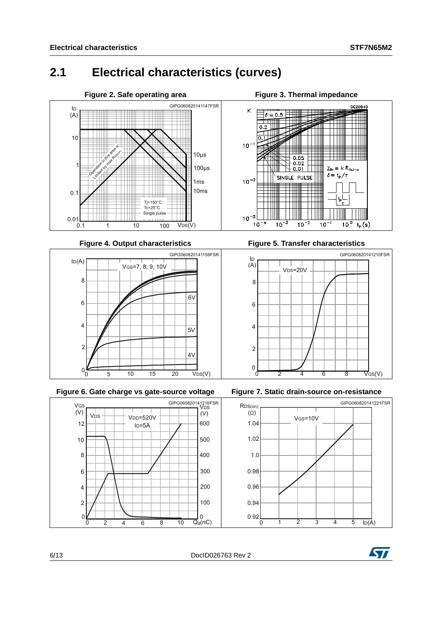### <span id="page-5-0"></span>**2.1 Electrical characteristics (curves)**





**Figure 6. Gate charge vs gate-source voltage Figure 7. Static drain-source on-resistance**



**Figure 3. Thermal impedance** 



**Figure 4. Output characteristics Figure 5. Transfer characteristics**







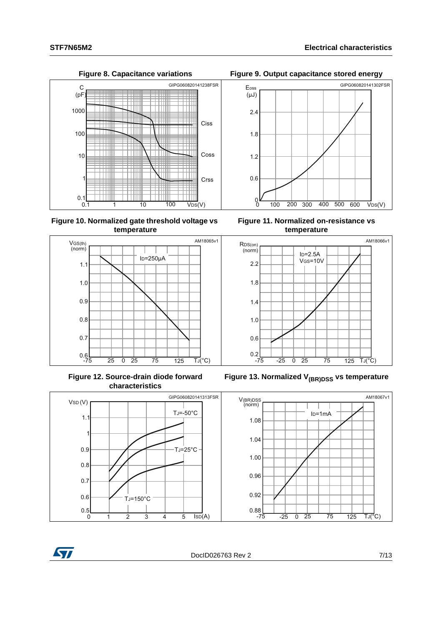

**Figure 10. Normalized gate threshold voltage vs temperature**



**Figure 12. Source-drain diode forward characteristics**











Figure 13. Normalized V<sub>(BR)DSS</sub> vs temperature



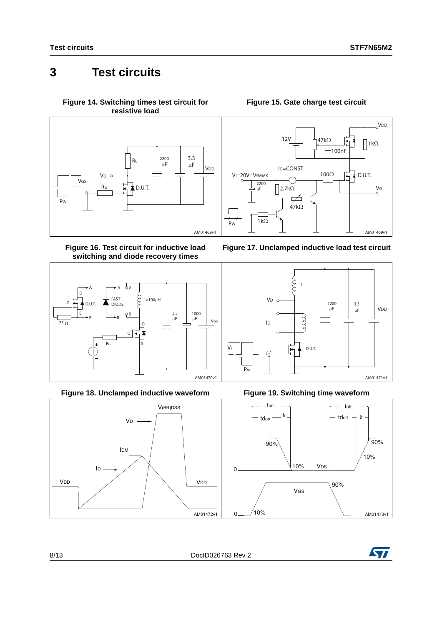### <span id="page-7-0"></span>**3 Test circuits**

<span id="page-7-2"></span>**Figure 14. Switching times test circuit for resistive load**



**Figure 16. Test circuit for inductive load switching and diode recovery times**



**Figure 18. Unclamped inductive waveform Figure 19. Switching time waveform**



#### **Figure 15. Gate charge test circuit**

<span id="page-7-1"></span>







<span id="page-7-3"></span>

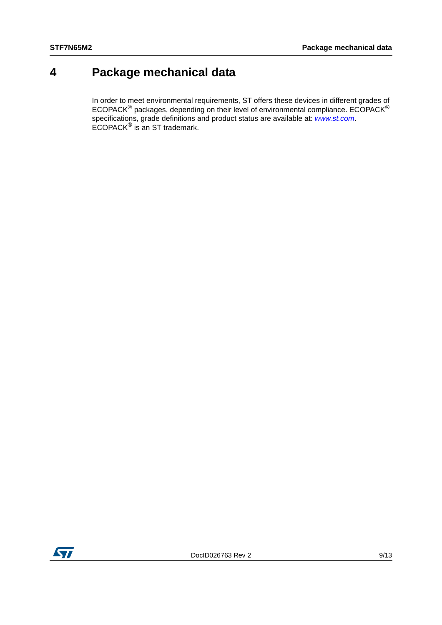### <span id="page-8-0"></span>**4 Package mechanical data**

In order to meet environmental requirements, ST offers these devices in different grades of ECOPACK $^{\circledR}$  packages, depending on their level of environmental compliance. ECOPACK $^{\circledR}$ specifications, grade definitions and product status are available at: *[www.st.com](http://www.st.com)*. ECOPACK® is an ST trademark.

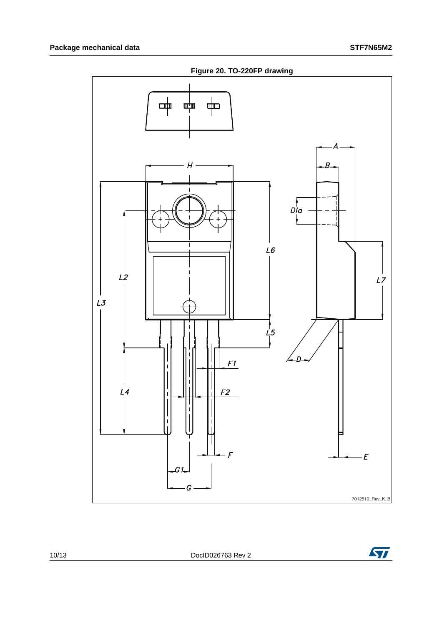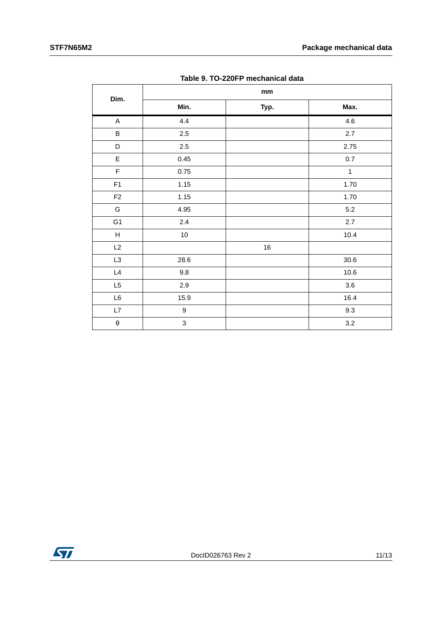|                           |                 | $\mathop{\text{mm}}\nolimits$ |              |
|---------------------------|-----------------|-------------------------------|--------------|
| Dim.                      | Min.            | Typ.                          | Max.         |
| $\mathsf A$               | 4.4             |                               | 4.6          |
| $\sf B$                   | $2.5\,$         |                               | $2.7\,$      |
| D                         | $2.5\,$         |                               | 2.75         |
| $\mathsf E$               | 0.45            |                               | $0.7\,$      |
| $\mathsf F$               | 0.75            |                               | $\mathbf{1}$ |
| F1                        | 1.15            |                               | 1.70         |
| F <sub>2</sub>            | 1.15            |                               | 1.70         |
| G                         | 4.95            |                               | 5.2          |
| G <sub>1</sub>            | $2.4\,$         |                               | 2.7          |
| $\boldsymbol{\mathsf{H}}$ | 10 <sub>1</sub> |                               | 10.4         |
| L2                        |                 | $16\,$                        |              |
| L <sub>3</sub>            | 28.6            |                               | $30.6\,$     |
| $\mathsf{L}4$             | 9.8             |                               | 10.6         |
| L <sub>5</sub>            | 2.9             |                               | 3.6          |
| $\mathsf{L}6$             | 15.9            |                               | 16.4         |
| $\mathsf{L}7$             | 9               |                               | 9.3          |
| $\boldsymbol{\theta}$     | 3               |                               | $3.2\,$      |

**Table 9. TO-220FP mechanical data**

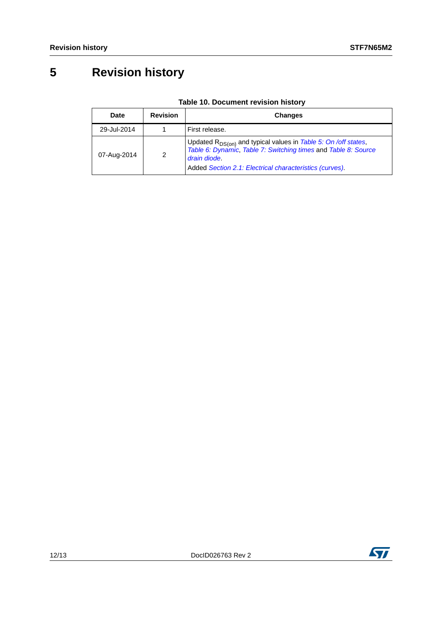# <span id="page-11-0"></span>**5 Revision history**

| Date        | <b>Revision</b> | <b>Changes</b>                                                                                                                                                                                                   |
|-------------|-----------------|------------------------------------------------------------------------------------------------------------------------------------------------------------------------------------------------------------------|
| 29-Jul-2014 |                 | First release.                                                                                                                                                                                                   |
| 07-Aug-2014 | 2               | Updated $R_{DS(on)}$ and typical values in Table 5: On /off states,<br>Table 6: Dynamic, Table 7: Switching times and Table 8: Source<br>drain diode.<br>Added Section 2.1: Electrical characteristics (curves). |

### **Table 10. Document revision history**